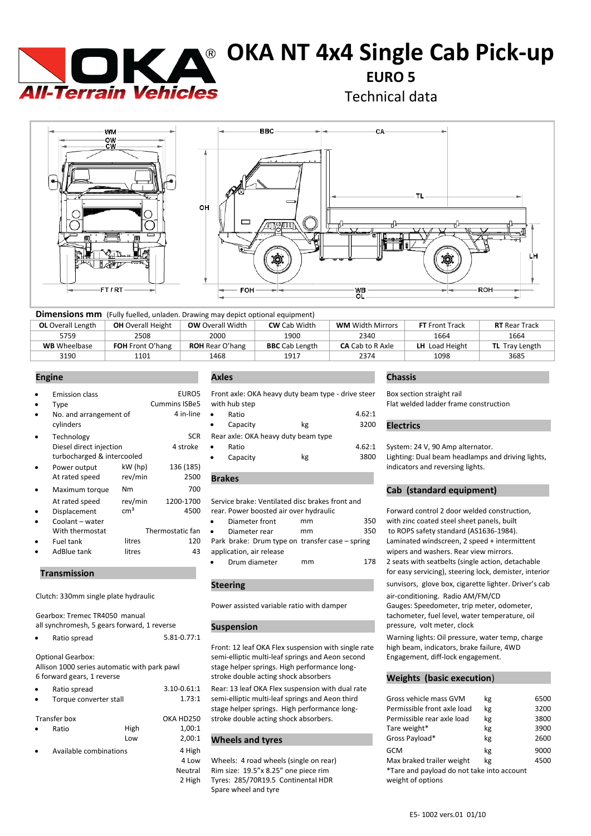

# **OKA NT 4x4 Single Cab Pick-up**

**EURO 5**

Technical data



| <b>Dimensions mm</b> (Fully fuelled, unladen. Drawing may depict optional equipment) |                          |                         |                       |                         |                       |                       |  |
|--------------------------------------------------------------------------------------|--------------------------|-------------------------|-----------------------|-------------------------|-----------------------|-----------------------|--|
| <b>OL</b> Overall Length                                                             | <b>OH</b> Overall Height | <b>OW</b> Overall Width | <b>CW</b> Cab Width   | <b>WM</b> Width Mirrors | <b>FT</b> Front Track | <b>RT</b> Rear Track  |  |
| 5759                                                                                 | 2508                     | 2000                    | 1900                  | 2340                    | 1664                  | 1664                  |  |
| <b>WB</b> Wheelbase                                                                  | <b>FOH</b> Front O'hang  | <b>ROH</b> Rear O'hang  | <b>BBC</b> Cab Length | <b>CA</b> Cab to R Axle | LH Load Height        | <b>TL</b> Tray Length |  |
| 3190                                                                                 | 1101                     | 1468                    | 1917                  | 2374                    | 1098                  | 3685                  |  |

|           | <b>Emission class</b>      |                 | EURO5                | Front axle: OKA heavy duty beam type - drive stee |    |       |
|-----------|----------------------------|-----------------|----------------------|---------------------------------------------------|----|-------|
| ٠         | Type                       |                 | <b>Cummins ISBe5</b> | with hub step                                     |    |       |
| $\bullet$ | No. and arrangement of     |                 | 4 in-line            | Ratio<br>$\bullet$                                |    | 4.62: |
|           | cylinders                  |                 |                      | Capacity<br>$\bullet$                             | kg | 3200  |
| $\bullet$ | Technology                 |                 | <b>SCR</b>           | Rear axle: OKA heavy duty beam type               |    |       |
|           | Diesel direct injection    |                 | 4 stroke             | Ratio<br>$\bullet$                                |    | 4.62: |
|           | turbocharged & intercooled |                 |                      | Capacity<br>٠                                     | kg | 3800  |
| $\bullet$ | Power output               | kW (hp)         | 136 (185)            |                                                   |    |       |
|           | At rated speed             | rev/min         | 2500                 | <b>Brakes</b>                                     |    |       |
| $\bullet$ | Maximum torque             | <b>Nm</b>       | 700                  |                                                   |    |       |
|           | At rated speed             | rev/min         | 1200-1700            | Service brake: Ventilated disc brakes front and   |    |       |
| $\bullet$ | Displacement               | cm <sup>3</sup> | 4500                 | rear. Power boosted air over hydraulic            |    |       |
| $\bullet$ | Coolant - water            |                 |                      | Diameter front<br>$\bullet$                       | mm | 350   |
|           | With thermostat            |                 | Thermostatic fan     | Diameter rear<br>$\bullet$                        | mm | 350   |
| $\bullet$ | Fuel tank                  | litres          | 120                  | Park brake: Drum type on transfer case - spring   |    |       |
|           | AdBlue tank                | litres          | 43                   | application, air release                          |    |       |
|           |                            |                 |                      |                                                   |    |       |

### **Transmission** .

Clutch: 330mm single plate hydraulic air-conditioning. Radio AM/FM/CD

Gearbox: Tremec TR4050 manual all synchromesh, 5 gears forward, 1 reverse

| Ratio spread | 5.81-0.77:1 |
|--------------|-------------|
|              |             |

Optional Gearbox: Allison 1000 series automatic with park pawl 6 forward gears, 1 reverse

| Ratio spread           |        | 3.10-0.61:1 |
|------------------------|--------|-------------|
| Torque converter stall | 1.73:1 |             |
| Transfer box           |        | OKA HD250   |
| Ratio                  | High   | 1.00:1      |
|                        | Low    | 2,00:1      |
| Available combinations |        | 4 High      |

### **Engine . Axles . Chassis .**

|           |                          | EURO5 Front axle: OKA heavy duty beam type - drive steer |        |
|-----------|--------------------------|----------------------------------------------------------|--------|
|           | ns ISBe5   with hub step |                                                          |        |
| 4 in-line | Ratio<br>$\bullet$       |                                                          | 4.62:1 |

| $\bullet$ | Capacity                            | kg | 3200 <b>Electrics</b>                   |
|-----------|-------------------------------------|----|-----------------------------------------|
|           | Rear axle: OKA heavy duty beam type |    |                                         |
| ٠         | Ratio                               |    | 4.62:1 System: 24 V, 90 Amp alternator. |

| $\bullet$ | Capacity | kg | 38 |
|-----------|----------|----|----|
|           |          |    |    |

Service brake: Ventilated disc brakes front and rear. Power boosted air over hydraulic Forward control 2 door welded construction,

| Diameter front                                  | mm | 350 |
|-------------------------------------------------|----|-----|
| Diameter rear                                   | mm | 350 |
| Park brake: Drum type on transfer case – spring |    |     |
| application, air release                        |    |     |
| Drum diameter                                   | mm | 178 |

### **Steering .**

Front: 12 leaf OKA Flex suspension with single rate high beam, indicators, brake failure, semi-elliptic multi-leaf springs and Aeon second Engagement. semi-elliptic multi-leaf springs and Aeon second stage helper springs. High performance longstroke double acting shock absorbers **Weights (basic execution**) .

1:1 Rear: 13 leaf OKA Flex suspension with dual rate 8:1 semi-elliptic multi-leaf springs and Aeon third stage helper springs. High performance long-50 stroke double acting shock absorbers.

### <sup>0:1</sup> Wheels and tyres

4 Low Wheels: 4 road wheels (single on rear) Neutral Rim size: 19.5"x 8.25" one piece rim<br>2 High Tyres: 285/70R19.5 Continental HDI 2 High Tyres: 285/70R19.5 Continental HDR weight of options Spare wheel and tyre

Box section straight rail

Flat welded ladder frame construction

2:1 System: 24 V, 90 Amp alternator. 00 Lighting: Dual beam headlamps and driving lights,

indicators and reversing lights.

### **Cab (standard equipment)**

with zinc coated steel sheet panels, built to ROPS safety standard (AS1636-1984). Laminated windscreen, 2 speed + intermittent wipers and washers. Rear view mirrors. 2 seats with seatbelts (single action, detachable for easy servicing), steering lock, demister, interior

sunvisors, glove box, cigarette lighter. Driver's cab

Power assisted variable ratio with damper Gauges: Speedometer, trip meter, odometer,

tachometer, fuel level, water temperature, oil **Suspension Suspension Suspension** *pressure, volt meter, clock* 

Warning lights: Oil pressure, water temp, charge<br>high beam, indicators, brake failure, 4WD

| Torque converter stall<br>$\bullet$ |              | 1.73:1   | semi-elliptic multi-leaf springs and Aeon third                                    | Gross vehicle mass GVM                       | kg                          | 6500 |      |
|-------------------------------------|--------------|----------|------------------------------------------------------------------------------------|----------------------------------------------|-----------------------------|------|------|
|                                     |              |          |                                                                                    | stage helper springs. High performance long- | Permissible front axle load | kg   | 3200 |
|                                     | Transfer box |          | OKA HD250                                                                          | stroke double acting shock absorbers.        | Permissible rear axle load  | kg   | 3800 |
| Ratio<br>$\bullet$                  | High         | 1.00:1   |                                                                                    | Tare weight*                                 | kg                          | 3900 |      |
|                                     |              | Low      | 2.00:1                                                                             | <b>Wheels and tyres</b>                      | Gross Payload*              | kg   | 2600 |
| Available combinations<br>$\bullet$ |              | 4 High   |                                                                                    | GCM                                          | kg                          | 9000 |      |
|                                     |              |          | 4 Low                                                                              | Wheels: 4 road wheels (single on rear)       | Max braked trailer weight   | kg   | 4500 |
|                                     |              | Neutral  | Rim size: 19.5"x 8.25" one piece rim<br>*Tare and payload do not take into account |                                              |                             |      |      |
|                                     |              | $2$ High | Turge: 285/700105 Continental HDD                                                  | woight of ontions                            |                             |      |      |